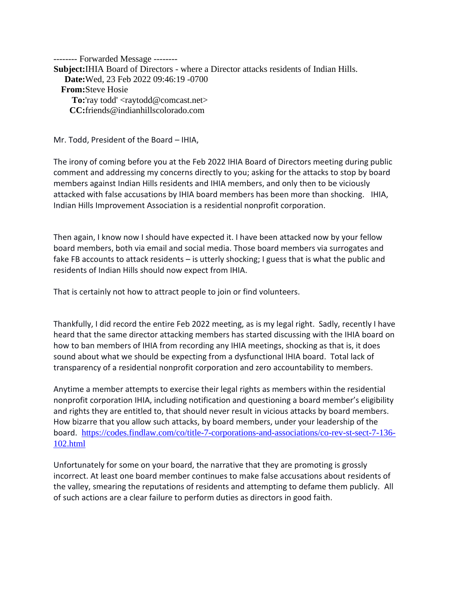-------- Forwarded Message -------- Subject: **IHIA Board of Directors - where a Director attacks residents of Indian Hills. Date:** Wed, 23 Feb 2022 09:46:19 -0700 **From:** Steve Hosie **To:**'ray todd' <raytodd@comcast.net> **CC:** friends@indianhillscolorado.com

Mr. Todd, President of the Board – IHIA,

The irony of coming before you at the Feb 2022 IHIA Board of Directors meeting during public comment and addressing my concerns directly to you; asking for the attacks to stop by board members against Indian Hills residents and IHIA members, and only then to be viciously attacked with false accusations by IHIA board members has been more than shocking. IHIA, Indian Hills Improvement Association is a residential nonprofit corporation.

Then again, I know now I should have expected it. I have been attacked now by your fellow board members, both via email and social media. Those board members via surrogates and fake FB accounts to attack residents – is utterly shocking; I guess that is what the public and residents of Indian Hills should now expect from IHIA.

That is certainly not how to attract people to join or find volunteers.

Thankfully, I did record the entire Feb 2022 meeting, as is my legal right. Sadly, recently I have heard that the same director attacking members has started discussing with the IHIA board on how to ban members of IHIA from recording any IHIA meetings, shocking as that is, it does sound about what we should be expecting from a dysfunctional IHIA board. Total lack of transparency of a residential nonprofit corporation and zero accountability to members.

Anytime a member attempts to exercise their legal rights as members within the residential nonprofit corporation IHIA, including notification and questioning a board member's eligibility and rights they are entitled to, that should never result in vicious attacks by board members. How bizarre that you allow such attacks, by board members, under your leadership of the board. [https://codes.findlaw.com/co/title-7-corporations-and-associations/co-rev-st-sect-7-136-](https://codes.findlaw.com/co/title-7-corporations-and-associations/co-rev-st-sect-7-136-102.html) [102.html](https://codes.findlaw.com/co/title-7-corporations-and-associations/co-rev-st-sect-7-136-102.html)

Unfortunately for some on your board, the narrative that they are promoting is grossly incorrect. At least one board member continues to make false accusations about residents of the valley, smearing the reputations of residents and attempting to defame them publicly. All of such actions are a clear failure to perform duties as directors in good faith.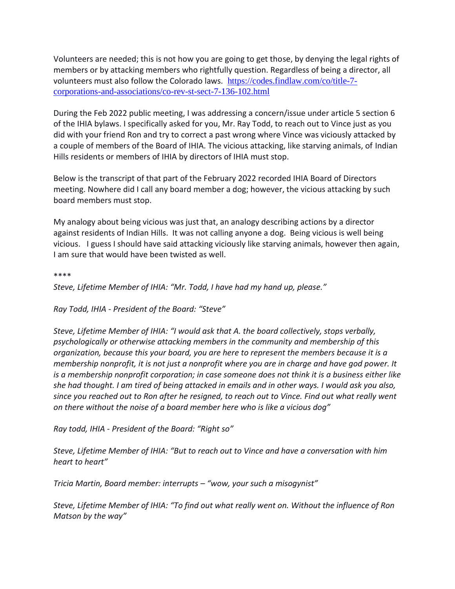Volunteers are needed; this is not how you are going to get those, by denying the legal rights of members or by attacking members who rightfully question. Regardless of being a director, all volunteers must also follow the Colorado laws. [https://codes.findlaw.com/co/title-7](https://codes.findlaw.com/co/title-7-corporations-and-associations/co-rev-st-sect-7-136-102.html) [corporations-and-associations/co-rev-st-sect-7-136-102.html](https://codes.findlaw.com/co/title-7-corporations-and-associations/co-rev-st-sect-7-136-102.html)

During the Feb 2022 public meeting, I was addressing a concern/issue under article 5 section 6 of the IHIA bylaws. I specifically asked for you, Mr. Ray Todd, to reach out to Vince just as you did with your friend Ron and try to correct a past wrong where Vince was viciously attacked by a couple of members of the Board of IHIA. The vicious attacking, like starving animals, of Indian Hills residents or members of IHIA by directors of IHIA must stop.

Below is the transcript of that part of the February 2022 recorded IHIA Board of Directors meeting. Nowhere did I call any board member a dog; however, the vicious attacking by such board members must stop.

My analogy about being vicious was just that, an analogy describing actions by a director against residents of Indian Hills. It was not calling anyone a dog. Being vicious is well being vicious. I guess I should have said attacking viciously like starving animals, however then again, I am sure that would have been twisted as well.

\*\*\*\*

*Steve, Lifetime Member of IHIA: "Mr. Todd, I have had my hand up, please."*

*Ray Todd, IHIA - President of the Board: "Steve"*

*Steve, Lifetime Member of IHIA: "I would ask that A. the board collectively, stops verbally, psychologically or otherwise attacking members in the community and membership of this organization, because this your board, you are here to represent the members because it is a membership nonprofit, it is not just a nonprofit where you are in charge and have god power. It is a membership nonprofit corporation; in case someone does not think it is a business either like she had thought. I am tired of being attacked in emails and in other ways. I would ask you also, since you reached out to Ron after he resigned, to reach out to Vince. Find out what really went on there without the noise of a board member here who is like a vicious dog"*

*Ray todd, IHIA - President of the Board: "Right so"*

*Steve, Lifetime Member of IHIA: "But to reach out to Vince and have a conversation with him heart to heart"*

*Tricia Martin, Board member: interrupts – "wow, your such a misogynist"*

*Steve, Lifetime Member of IHIA: "To find out what really went on. Without the influence of Ron Matson by the way"*